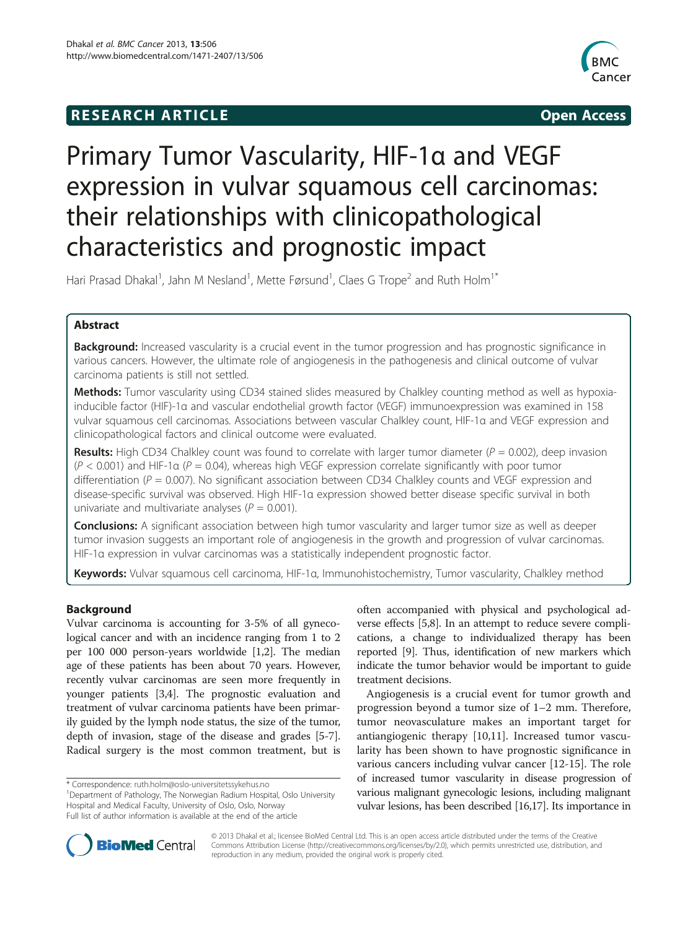## **RESEARCH ARTICLE Example 2014 12:30 The SEAR CHA RTICLE**



# Primary Tumor Vascularity, HIF-1α and VEGF expression in vulvar squamous cell carcinomas: their relationships with clinicopathological characteristics and prognostic impact

Hari Prasad Dhakal<sup>1</sup>, Jahn M Nesland<sup>1</sup>, Mette Førsund<sup>1</sup>, Claes G Trope<sup>2</sup> and Ruth Holm<sup>1\*</sup>

## Abstract

Background: Increased vascularity is a crucial event in the tumor progression and has prognostic significance in various cancers. However, the ultimate role of angiogenesis in the pathogenesis and clinical outcome of vulvar carcinoma patients is still not settled.

**Methods:** Tumor vascularity using CD34 stained slides measured by Chalkley counting method as well as hypoxiainducible factor (HIF)-1α and vascular endothelial growth factor (VEGF) immunoexpression was examined in 158 vulvar squamous cell carcinomas. Associations between vascular Chalkley count, HIF-1α and VEGF expression and clinicopathological factors and clinical outcome were evaluated.

**Results:** High CD34 Chalkley count was found to correlate with larger tumor diameter ( $P = 0.002$ ), deep invasion  $(P < 0.001)$  and HIF-1 $\alpha$  (P = 0.04), whereas high VEGF expression correlate significantly with poor tumor differentiation ( $P = 0.007$ ). No significant association between CD34 Chalkley counts and VEGF expression and disease-specific survival was observed. High HIF-1α expression showed better disease specific survival in both univariate and multivariate analyses ( $P = 0.001$ ).

Conclusions: A significant association between high tumor vascularity and larger tumor size as well as deeper tumor invasion suggests an important role of angiogenesis in the growth and progression of vulvar carcinomas. HIF-1α expression in vulvar carcinomas was a statistically independent prognostic factor.

Keywords: Vulvar squamous cell carcinoma, HIF-1α, Immunohistochemistry, Tumor vascularity, Chalkley method

## Background

Vulvar carcinoma is accounting for 3-5% of all gynecological cancer and with an incidence ranging from 1 to 2 per 100 000 person-years worldwide [\[1,2](#page-6-0)]. The median age of these patients has been about 70 years. However, recently vulvar carcinomas are seen more frequently in younger patients [[3](#page-6-0),[4](#page-6-0)]. The prognostic evaluation and treatment of vulvar carcinoma patients have been primarily guided by the lymph node status, the size of the tumor, depth of invasion, stage of the disease and grades [\[5](#page-6-0)-[7](#page-6-0)]. Radical surgery is the most common treatment, but is

<sup>1</sup>Department of Pathology, The Norwegian Radium Hospital, Oslo University Hospital and Medical Faculty, University of Oslo, Oslo, Norway

Full list of author information is available at the end of the article

often accompanied with physical and psychological adverse effects [[5,8\]](#page-6-0). In an attempt to reduce severe complications, a change to individualized therapy has been reported [\[9](#page-6-0)]. Thus, identification of new markers which indicate the tumor behavior would be important to guide treatment decisions.

Angiogenesis is a crucial event for tumor growth and progression beyond a tumor size of 1–2 mm. Therefore, tumor neovasculature makes an important target for antiangiogenic therapy [[10,11\]](#page-6-0). Increased tumor vascularity has been shown to have prognostic significance in various cancers including vulvar cancer [\[12](#page-6-0)-[15](#page-7-0)]. The role of increased tumor vascularity in disease progression of various malignant gynecologic lesions, including malignant vulvar lesions, has been described [\[16,17](#page-7-0)]. Its importance in



© 2013 Dhakal et al.; licensee BioMed Central Ltd. This is an open access article distributed under the terms of the Creative Commons Attribution License [\(http://creativecommons.org/licenses/by/2.0\)](http://creativecommons.org/licenses/by/2.0), which permits unrestricted use, distribution, and reproduction in any medium, provided the original work is properly cited.

<sup>\*</sup> Correspondence: [ruth.holm@oslo-universitetssykehus.no](mailto:ruth.holm@oslo-universitetssykehus.no) <sup>1</sup>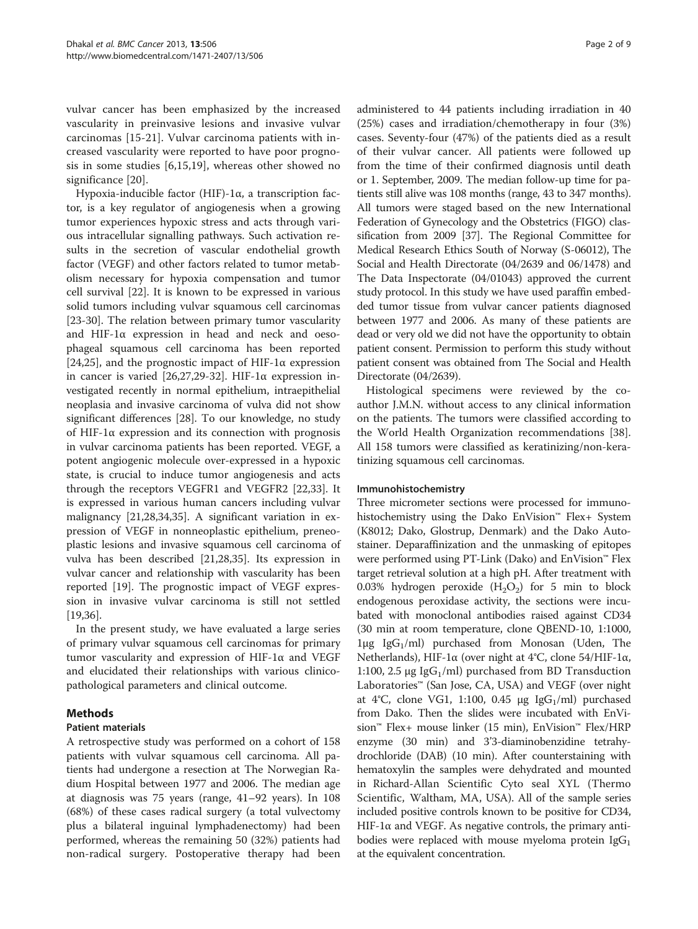vulvar cancer has been emphasized by the increased vascularity in preinvasive lesions and invasive vulvar carcinomas [[15-21](#page-7-0)]. Vulvar carcinoma patients with increased vascularity were reported to have poor prognosis in some studies [[6,](#page-6-0)[15,19](#page-7-0)], whereas other showed no significance [\[20](#page-7-0)].

Hypoxia-inducible factor (HIF)-1α, a transcription factor, is a key regulator of angiogenesis when a growing tumor experiences hypoxic stress and acts through various intracellular signalling pathways. Such activation results in the secretion of vascular endothelial growth factor (VEGF) and other factors related to tumor metabolism necessary for hypoxia compensation and tumor cell survival [\[22](#page-7-0)]. It is known to be expressed in various solid tumors including vulvar squamous cell carcinomas [[23-30](#page-7-0)]. The relation between primary tumor vascularity and HIF-1α expression in head and neck and oesophageal squamous cell carcinoma has been reported [[24,25\]](#page-7-0), and the prognostic impact of HIF-1 $\alpha$  expression in cancer is varied [[26](#page-7-0),[27,29](#page-7-0)-[32\]](#page-7-0). HIF-1α expression investigated recently in normal epithelium, intraepithelial neoplasia and invasive carcinoma of vulva did not show significant differences [\[28\]](#page-7-0). To our knowledge, no study of HIF-1α expression and its connection with prognosis in vulvar carcinoma patients has been reported. VEGF, a potent angiogenic molecule over-expressed in a hypoxic state, is crucial to induce tumor angiogenesis and acts through the receptors VEGFR1 and VEGFR2 [\[22,33\]](#page-7-0). It is expressed in various human cancers including vulvar malignancy [[21,28,34,35\]](#page-7-0). A significant variation in expression of VEGF in nonneoplastic epithelium, preneoplastic lesions and invasive squamous cell carcinoma of vulva has been described [\[21,28,35\]](#page-7-0). Its expression in vulvar cancer and relationship with vascularity has been reported [\[19\]](#page-7-0). The prognostic impact of VEGF expression in invasive vulvar carcinoma is still not settled  $|19,36|$ .

In the present study, we have evaluated a large series of primary vulvar squamous cell carcinomas for primary tumor vascularity and expression of HIF-1α and VEGF and elucidated their relationships with various clinicopathological parameters and clinical outcome.

## Methods

## Patient materials

A retrospective study was performed on a cohort of 158 patients with vulvar squamous cell carcinoma. All patients had undergone a resection at The Norwegian Radium Hospital between 1977 and 2006. The median age at diagnosis was 75 years (range, 41–92 years). In 108 (68%) of these cases radical surgery (a total vulvectomy plus a bilateral inguinal lymphadenectomy) had been performed, whereas the remaining 50 (32%) patients had non-radical surgery. Postoperative therapy had been

administered to 44 patients including irradiation in 40 (25%) cases and irradiation/chemotherapy in four (3%) cases. Seventy-four (47%) of the patients died as a result of their vulvar cancer. All patients were followed up from the time of their confirmed diagnosis until death or 1. September, 2009. The median follow-up time for patients still alive was 108 months (range, 43 to 347 months). All tumors were staged based on the new International Federation of Gynecology and the Obstetrics (FIGO) classification from 2009 [\[37\]](#page-7-0). The Regional Committee for Medical Research Ethics South of Norway (S-06012), The Social and Health Directorate (04/2639 and 06/1478) and The Data Inspectorate (04/01043) approved the current study protocol. In this study we have used paraffin embedded tumor tissue from vulvar cancer patients diagnosed between 1977 and 2006. As many of these patients are dead or very old we did not have the opportunity to obtain patient consent. Permission to perform this study without patient consent was obtained from The Social and Health Directorate (04/2639).

Histological specimens were reviewed by the coauthor J.M.N. without access to any clinical information on the patients. The tumors were classified according to the World Health Organization recommendations [\[38](#page-7-0)]. All 158 tumors were classified as keratinizing/non-keratinizing squamous cell carcinomas.

## Immunohistochemistry

Three micrometer sections were processed for immunohistochemistry using the Dako EnVision™ Flex+ System (K8012; Dako, Glostrup, Denmark) and the Dako Autostainer. Deparaffinization and the unmasking of epitopes were performed using PT-Link (Dako) and EnVision™ Flex target retrieval solution at a high pH. After treatment with 0.03% hydrogen peroxide  $(H_2O_2)$  for 5 min to block endogenous peroxidase activity, the sections were incubated with monoclonal antibodies raised against CD34 (30 min at room temperature, clone QBEND-10, 1:1000, 1μg Ig $G_1$ /ml) purchased from Monosan (Uden, The Netherlands), HIF-1α (over night at 4°C, clone 54/HIF-1α, 1:100, 2.5  $\mu$ g IgG<sub>1</sub>/ml) purchased from BD Transduction Laboratories™ (San Jose, CA, USA) and VEGF (over night at 4°C, clone VG1, 1:100, 0.45  $\mu$ g IgG<sub>1</sub>/ml) purchased from Dako. Then the slides were incubated with EnVision™ Flex+ mouse linker (15 min), EnVision™ Flex/HRP enzyme (30 min) and 3'3-diaminobenzidine tetrahydrochloride (DAB) (10 min). After counterstaining with hematoxylin the samples were dehydrated and mounted in Richard-Allan Scientific Cyto seal XYL (Thermo Scientific, Waltham, MA, USA). All of the sample series included positive controls known to be positive for CD34, HIF-1 $\alpha$  and VEGF. As negative controls, the primary antibodies were replaced with mouse myeloma protein  $\lg G_1$ at the equivalent concentration.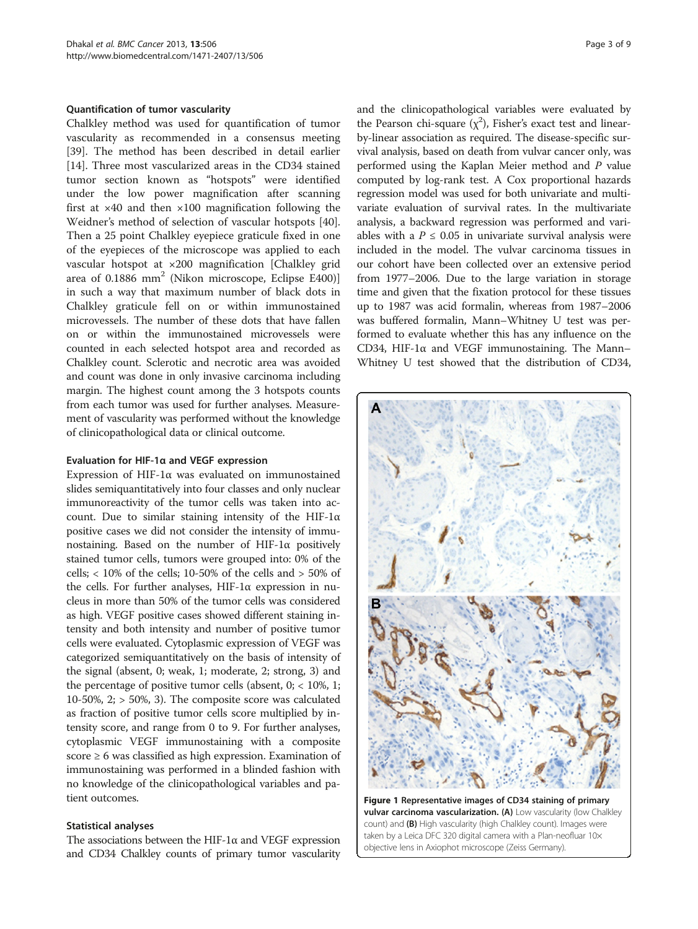### <span id="page-2-0"></span>Quantification of tumor vascularity

Chalkley method was used for quantification of tumor vascularity as recommended in a consensus meeting [[39\]](#page-7-0). The method has been described in detail earlier [[14\]](#page-7-0). Three most vascularized areas in the CD34 stained tumor section known as "hotspots" were identified under the low power magnification after scanning first at  $\times$ 40 and then  $\times$ 100 magnification following the Weidner's method of selection of vascular hotspots [\[40](#page-7-0)]. Then a 25 point Chalkley eyepiece graticule fixed in one of the eyepieces of the microscope was applied to each vascular hotspot at ×200 magnification [Chalkley grid area of 0.1886 mm<sup>2</sup> (Nikon microscope, Eclipse E400)] in such a way that maximum number of black dots in Chalkley graticule fell on or within immunostained microvessels. The number of these dots that have fallen on or within the immunostained microvessels were counted in each selected hotspot area and recorded as Chalkley count. Sclerotic and necrotic area was avoided and count was done in only invasive carcinoma including margin. The highest count among the 3 hotspots counts from each tumor was used for further analyses. Measurement of vascularity was performed without the knowledge of clinicopathological data or clinical outcome.

### Evaluation for HIF-1α and VEGF expression

Expression of HIF-1α was evaluated on immunostained slides semiquantitatively into four classes and only nuclear immunoreactivity of the tumor cells was taken into account. Due to similar staining intensity of the HIF-1 $\alpha$ positive cases we did not consider the intensity of immunostaining. Based on the number of HIF-1α positively stained tumor cells, tumors were grouped into: 0% of the cells;  $< 10\%$  of the cells; 10-50% of the cells and  $> 50\%$  of the cells. For further analyses, HIF-1α expression in nucleus in more than 50% of the tumor cells was considered as high. VEGF positive cases showed different staining intensity and both intensity and number of positive tumor cells were evaluated. Cytoplasmic expression of VEGF was categorized semiquantitatively on the basis of intensity of the signal (absent, 0; weak, 1; moderate, 2; strong, 3) and the percentage of positive tumor cells (absent,  $0$ ;  $<$  10%, 1; 10-50%,  $2$ ;  $>$  50%, 3). The composite score was calculated as fraction of positive tumor cells score multiplied by intensity score, and range from 0 to 9. For further analyses, cytoplasmic VEGF immunostaining with a composite score ≥ 6 was classified as high expression. Examination of immunostaining was performed in a blinded fashion with no knowledge of the clinicopathological variables and patient outcomes.

#### Statistical analyses

The associations between the HIF-1 $\alpha$  and VEGF expression and CD34 Chalkley counts of primary tumor vascularity and the clinicopathological variables were evaluated by the Pearson chi-square  $(x^2)$ , Fisher's exact test and linearby-linear association as required. The disease-specific survival analysis, based on death from vulvar cancer only, was performed using the Kaplan Meier method and P value computed by log-rank test. A Cox proportional hazards regression model was used for both univariate and multivariate evaluation of survival rates. In the multivariate analysis, a backward regression was performed and variables with a  $P \le 0.05$  in univariate survival analysis were included in the model. The vulvar carcinoma tissues in our cohort have been collected over an extensive period from 1977–2006. Due to the large variation in storage time and given that the fixation protocol for these tissues up to 1987 was acid formalin, whereas from 1987–2006 was buffered formalin, Mann–Whitney U test was performed to evaluate whether this has any influence on the CD34, HIF-1α and VEGF immunostaining. The Mann– Whitney U test showed that the distribution of CD34,



Figure 1 Representative images of CD34 staining of primary vulvar carcinoma vascularization. (A) Low vascularity (low Chalkley count) and (B) High vascularity (high Chalkley count). Images were taken by a Leica DFC 320 digital camera with a Plan-neofluar 10x objective lens in Axiophot microscope (Zeiss Germany).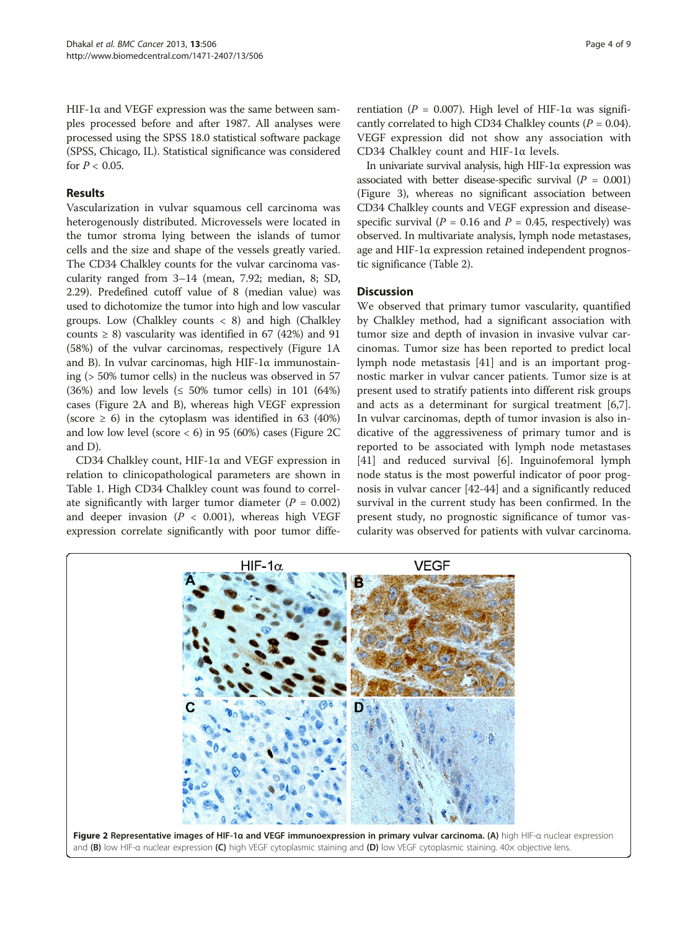HIF-1 $\alpha$  and VEGF expression was the same between samples processed before and after 1987. All analyses were processed using the SPSS 18.0 statistical software package (SPSS, Chicago, IL). Statistical significance was considered for  $P < 0.05$ .

## Results

Vascularization in vulvar squamous cell carcinoma was heterogenously distributed. Microvessels were located in the tumor stroma lying between the islands of tumor cells and the size and shape of the vessels greatly varied. The CD34 Chalkley counts for the vulvar carcinoma vascularity ranged from 3–14 (mean, 7.92; median, 8; SD, 2.29). Predefined cutoff value of 8 (median value) was used to dichotomize the tumor into high and low vascular groups. Low (Chalkley counts  $\langle 8 \rangle$  and high (Chalkley counts  $\geq$  8) vascularity was identified in 67 (42%) and 91 (58%) of the vulvar carcinomas, respectively (Figure [1A](#page-2-0) and B). In vulvar carcinomas, high HIF-1α immunostaining (> 50% tumor cells) in the nucleus was observed in 57 (36%) and low levels ( $\leq$  50% tumor cells) in 101 (64%) cases (Figure 2A and B), whereas high VEGF expression (score  $\geq$  6) in the cytoplasm was identified in 63 (40%) and low low level (score  $<$  6) in 95 (60%) cases (Figure 2C and D).

CD34 Chalkley count, HIF-1α and VEGF expression in relation to clinicopathological parameters are shown in Table [1.](#page-4-0) High CD34 Chalkley count was found to correlate significantly with larger tumor diameter  $(P = 0.002)$ and deeper invasion ( $P < 0.001$ ), whereas high VEGF expression correlate significantly with poor tumor differentiation ( $P = 0.007$ ). High level of HIF-1α was significantly correlated to high CD34 Chalkley counts ( $P = 0.04$ ). VEGF expression did not show any association with CD34 Chalkley count and HIF-1α levels.

In univariate survival analysis, high HIF-1α expression was associated with better disease-specific survival ( $P = 0.001$ ) (Figure [3\)](#page-5-0), whereas no significant association between CD34 Chalkley counts and VEGF expression and diseasespecific survival ( $P = 0.16$  and  $P = 0.45$ , respectively) was observed. In multivariate analysis, lymph node metastases, age and HIF-1α expression retained independent prognostic significance (Table [2](#page-5-0)).

## **Discussion**

We observed that primary tumor vascularity, quantified by Chalkley method, had a significant association with tumor size and depth of invasion in invasive vulvar carcinomas. Tumor size has been reported to predict local lymph node metastasis [[41\]](#page-7-0) and is an important prognostic marker in vulvar cancer patients. Tumor size is at present used to stratify patients into different risk groups and acts as a determinant for surgical treatment [\[6,7](#page-6-0)]. In vulvar carcinomas, depth of tumor invasion is also indicative of the aggressiveness of primary tumor and is reported to be associated with lymph node metastases [[41\]](#page-7-0) and reduced survival [[6](#page-6-0)]. Inguinofemoral lymph node status is the most powerful indicator of poor prognosis in vulvar cancer [[42-44\]](#page-7-0) and a significantly reduced survival in the current study has been confirmed. In the present study, no prognostic significance of tumor vascularity was observed for patients with vulvar carcinoma.

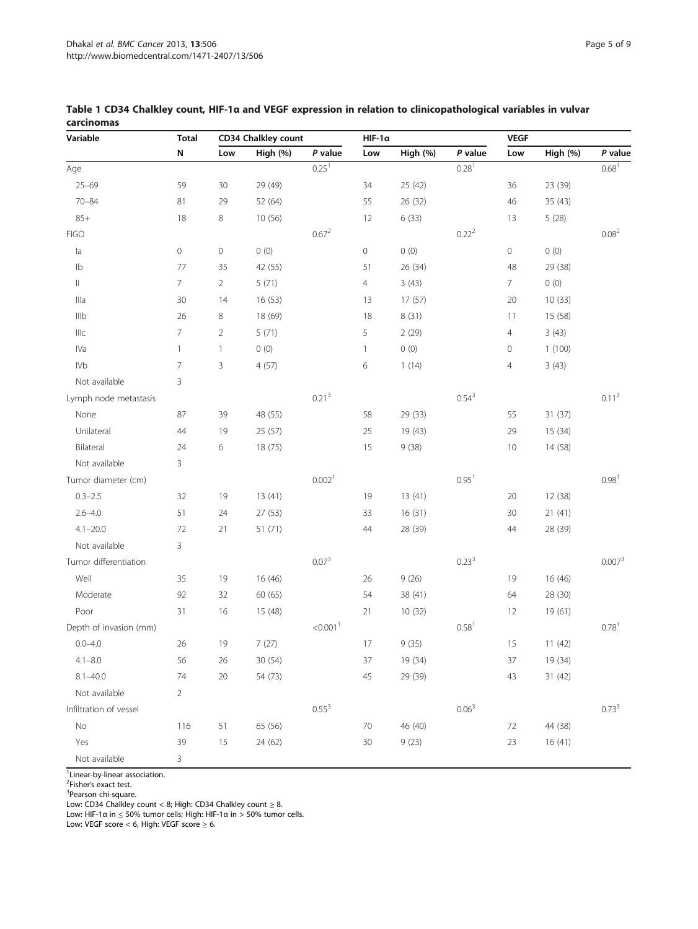| Variable               | <b>Total</b><br>N | CD34 Chalkley count      |          |                      | $HIF-1\alpha$       |          |                   | <b>VEGF</b>         |          |                     |
|------------------------|-------------------|--------------------------|----------|----------------------|---------------------|----------|-------------------|---------------------|----------|---------------------|
|                        |                   | Low                      | High (%) | P value              | Low                 | High (%) | P value           | Low                 | High (%) | P value             |
| Age                    |                   |                          |          | $0.25^{1}$           |                     |          | $0.28^{1}$        |                     |          | 0.68 <sup>1</sup>   |
| $25 - 69$              | 59                | 30                       | 29 (49)  |                      | 34                  | 25 (42)  |                   | 36                  | 23 (39)  |                     |
| $70 - 84$              | 81                | 29                       | 52 (64)  |                      | 55                  | 26 (32)  |                   | 46                  | 35 (43)  |                     |
| $85+$                  | 18                | 8                        | 10(56)   |                      | 12                  | 6(33)    |                   | 13                  | 5(28)    |                     |
| <b>FIGO</b>            |                   |                          |          | $0.67^{2}$           |                     |          | 0.22 <sup>2</sup> |                     |          | 0.08 <sup>2</sup>   |
| a                      | 0                 | $\mathbb O$              | 0(0)     |                      | $\mathsf{O}\xspace$ | 0(0)     |                   | $\mathsf{O}\xspace$ | 0(0)     |                     |
| 1 <sub>b</sub>         | 77                | 35                       | 42 (55)  |                      | 51                  | 26 (34)  |                   | 48                  | 29 (38)  |                     |
| $\vert\vert$           | 7.                | 2                        | 5(71)    |                      | $\overline{4}$      | 3(43)    |                   | 7                   | 0(0)     |                     |
| Illa                   | 30                | 14                       | 16 (53)  |                      | 13                  | 17 (57)  |                   | 20                  | 10(33)   |                     |
| Illb                   | 26                | 8                        | 18 (69)  |                      | 18                  | 8(31)    |                   | 11                  | 15 (58)  |                     |
| Illc                   | 7                 | $\overline{2}$           | 5(71)    |                      | 5                   | 2(29)    |                   | 4                   | 3(43)    |                     |
| IVa                    | 1                 | $\overline{\phantom{a}}$ | 0(0)     |                      | 1                   | 0(0)     |                   | $\mathbf 0$         | 1(100)   |                     |
| <b>IVb</b>             | 7                 | 3                        | 4(57)    |                      | 6                   | 1(14)    |                   | 4                   | 3(43)    |                     |
| Not available          | 3                 |                          |          |                      |                     |          |                   |                     |          |                     |
| Lymph node metastasis  |                   |                          |          | $0.21^{3}$           |                     |          | $0.54^{3}$        |                     |          | $0.11^{3}$          |
| None                   | 87                | 39                       | 48 (55)  |                      | 58                  | 29 (33)  |                   | 55                  | 31 (37)  |                     |
| Unilateral             | 44                | 19                       | 25 (57)  |                      | 25                  | 19 (43)  |                   | 29                  | 15 (34)  |                     |
| Bilateral              | 24                | 6                        | 18 (75)  |                      | 15                  | 9(38)    |                   | 10                  | 14 (58)  |                     |
| Not available          | 3                 |                          |          |                      |                     |          |                   |                     |          |                     |
| Tumor diameter (cm)    |                   |                          |          | 0.002 <sup>1</sup>   |                     |          | 0.95 <sup>1</sup> |                     |          | 0.98 <sup>1</sup>   |
| $0.3 - 2.5$            | 32                | 19                       | 13(41)   |                      | 19                  | 13 (41)  |                   | 20                  | 12 (38)  |                     |
| $2.6 - 4.0$            | 51                | 24                       | 27 (53)  |                      | 33                  | 16(31)   |                   | 30                  | 21(41)   |                     |
| $4.1 - 20.0$           | 72                | 21                       | 51 (71)  |                      | 44                  | 28 (39)  |                   | 44                  | 28 (39)  |                     |
| Not available          | 3                 |                          |          |                      |                     |          |                   |                     |          |                     |
| Tumor differentiation  |                   |                          |          | $0.07^{3}$           |                     |          | $0.23^{3}$        |                     |          | 0.007 <sup>3</sup>  |
| Well                   | 35                | 19                       | 16 (46)  |                      | 26                  | 9(26)    |                   | 19                  | 16 (46)  |                     |
| Moderate               | 92                | 32                       | 60 (65)  |                      | 54                  | 38 (41)  |                   | 64                  | 28 (30)  |                     |
| Poor                   | 31                | 16                       | 15 (48)  |                      | 21                  | 10(32)   |                   | 12                  | 19 (61)  |                     |
| Depth of invasion (mm) |                   |                          |          | < 0.001 <sup>1</sup> |                     |          | 0.58 <sup>1</sup> |                     |          | $0.78$ <sup>1</sup> |
| $0.0 - 4.0$            | 26                | 19                       | 7(27)    |                      | 17                  | 9(35)    |                   | 15                  | 11(42)   |                     |
| $4.1 - 8.0$            | 56                | 26                       | 30 (54)  |                      | $37\,$              | 19 (34)  |                   | 37                  | 19 (34)  |                     |
| $8.1 - 40.0$           | 74                | $20\,$                   | 54 (73)  |                      | 45                  | 29 (39)  |                   | 43                  | 31 (42)  |                     |
| Not available          | $\overline{2}$    |                          |          |                      |                     |          |                   |                     |          |                     |
| Infiltration of vessel |                   |                          |          | $0.55^{3}$           |                     |          | $0.06^{3}$        |                     |          | $0.73^{3}$          |
| No                     | 116               | 51                       | 65 (56)  |                      | 70                  | 46 (40)  |                   | 72                  | 44 (38)  |                     |
| Yes                    | 39                | $15\,$                   | 24 (62)  |                      | $30\,$              | 9(23)    |                   | 23                  | 16(41)   |                     |

## <span id="page-4-0"></span>Table 1 CD34 Chalkley count, HIF-1α and VEGF expression in relation to clinicopathological variables in vulvar carcinomas

<sup>1</sup> Linear-by-linear association.

Not available 3

<sup>2</sup>Fisher's exact test.<br><sup>3</sup> Pearson shi squar

 $3$ Pearson chi-square.

Low: CD34 Chalkley count < 8; High: CD34 Chalkley count  $\geq 8$ .

Low: HIF-1α in ≤ 50% tumor cells; High: HIF-1α in > 50% tumor cells.

Low: VEGF score < 6, High: VEGF score  $\geq 6$ .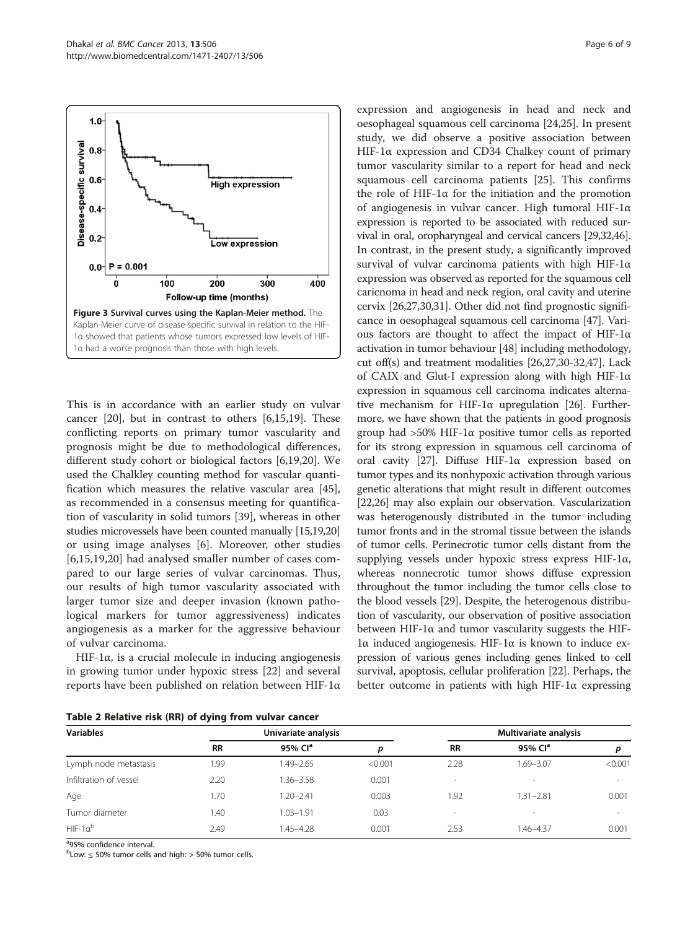<span id="page-5-0"></span>

This is in accordance with an earlier study on vulvar cancer [\[20](#page-7-0)], but in contrast to others [\[6](#page-6-0)[,15,19](#page-7-0)]. These conflicting reports on primary tumor vascularity and prognosis might be due to methodological differences, different study cohort or biological factors [[6,](#page-6-0)[19,20\]](#page-7-0). We used the Chalkley counting method for vascular quantification which measures the relative vascular area [\[45](#page-7-0)], as recommended in a consensus meeting for quantification of vascularity in solid tumors [\[39](#page-7-0)], whereas in other studies microvessels have been counted manually [\[15,19,20](#page-7-0)] or using image analyses [[6\]](#page-6-0). Moreover, other studies [[6](#page-6-0)[,15,19](#page-7-0),[20\]](#page-7-0) had analysed smaller number of cases compared to our large series of vulvar carcinomas. Thus, our results of high tumor vascularity associated with larger tumor size and deeper invasion (known pathological markers for tumor aggressiveness) indicates angiogenesis as a marker for the aggressive behaviour of vulvar carcinoma.

HIF-1α, is a crucial molecule in inducing angiogenesis in growing tumor under hypoxic stress [\[22](#page-7-0)] and several reports have been published on relation between HIF-1α

Table 2 Relative risk (RR) of dying from vulvar cancer

expression and angiogenesis in head and neck and oesophageal squamous cell carcinoma [[24,25\]](#page-7-0). In present study, we did observe a positive association between HIF-1α expression and CD34 Chalkey count of primary tumor vascularity similar to a report for head and neck squamous cell carcinoma patients [[25\]](#page-7-0). This confirms the role of HIF-1α for the initiation and the promotion of angiogenesis in vulvar cancer. High tumoral HIF-1α expression is reported to be associated with reduced survival in oral, oropharyngeal and cervical cancers [\[29,32,46](#page-7-0)]. In contrast, in the present study, a significantly improved survival of vulvar carcinoma patients with high HIF-1α expression was observed as reported for the squamous cell caricnoma in head and neck region, oral cavity and uterine cervix [\[26,27,30,31\]](#page-7-0). Other did not find prognostic significance in oesophageal squamous cell carcinoma [[47](#page-7-0)]. Various factors are thought to affect the impact of HIF-1α activation in tumor behaviour [\[48\]](#page-7-0) including methodology, cut off(s) and treatment modalities [\[26,27,30-32,47\]](#page-7-0). Lack of CAIX and Glut-I expression along with high HIF-1α expression in squamous cell carcinoma indicates alternative mechanism for HIF-1α upregulation [\[26\]](#page-7-0). Furthermore, we have shown that the patients in good prognosis group had >50% HIF-1α positive tumor cells as reported for its strong expression in squamous cell carcinoma of oral cavity [[27](#page-7-0)]. Diffuse HIF-1α expression based on tumor types and its nonhypoxic activation through various genetic alterations that might result in different outcomes [[22](#page-7-0),[26](#page-7-0)] may also explain our observation. Vascularization was heterogenously distributed in the tumor including tumor fronts and in the stromal tissue between the islands of tumor cells. Perinecrotic tumor cells distant from the supplying vessels under hypoxic stress express HIF-1α, whereas nonnecrotic tumor shows diffuse expression throughout the tumor including the tumor cells close to the blood vessels [[29](#page-7-0)]. Despite, the heterogenous distribution of vascularity, our observation of positive association between HIF-1 $\alpha$  and tumor vascularity suggests the HIF-1α induced angiogenesis. HIF-1α is known to induce expression of various genes including genes linked to cell survival, apoptosis, cellular proliferation [\[22\]](#page-7-0). Perhaps, the better outcome in patients with high HIF-1α expressing

| <b>Variables</b>       |           | Univariate analysis |         | Multivariate analysis |                          |         |  |
|------------------------|-----------|---------------------|---------|-----------------------|--------------------------|---------|--|
|                        | <b>RR</b> | 95% Cl <sup>a</sup> | p       | <b>RR</b>             | 95% Cl <sup>a</sup>      |         |  |
| Lymph node metastasis  | .99       | $.49 - 2.65$        | < 0.001 | 2.28                  | 1.69-3.07                | < 0.001 |  |
| Infiltration of vessel | 2.20      | 1.36–3.58           | 0.001   | ۰                     | $\overline{\phantom{a}}$ | $\sim$  |  |
| Age                    | 1.70      | $1.20 - 2.41$       | 0.003   | 1.92                  | $1.31 - 2.81$            | 0.001   |  |
| Tumor diameter         | 1.40      | 1.03-1.91           | 0.03    | $\sim$                | $\overline{\phantom{a}}$ | $\sim$  |  |
| $HIF-1b$               | 2.49      | $45 - 4.28$         | 0.001   | 2.53                  | 1.46–4.37                | 0.001   |  |

<sup>a</sup>95% confidence interval.

 $b$ Low:  $\leq$  50% tumor cells and high:  $>$  50% tumor cells.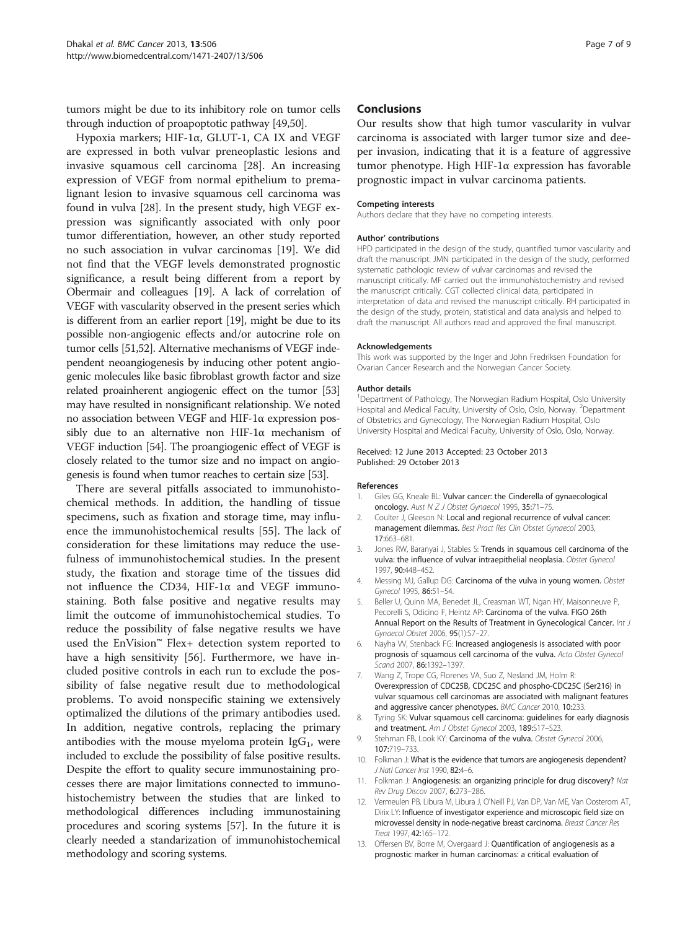<span id="page-6-0"></span>tumors might be due to its inhibitory role on tumor cells through induction of proapoptotic pathway [[49,50\]](#page-7-0).

Hypoxia markers; HIF-1α, GLUT-1, CA IX and VEGF are expressed in both vulvar preneoplastic lesions and invasive squamous cell carcinoma [[28\]](#page-7-0). An increasing expression of VEGF from normal epithelium to premalignant lesion to invasive squamous cell carcinoma was found in vulva [[28](#page-7-0)]. In the present study, high VEGF expression was significantly associated with only poor tumor differentiation, however, an other study reported no such association in vulvar carcinomas [\[19](#page-7-0)]. We did not find that the VEGF levels demonstrated prognostic significance, a result being different from a report by Obermair and colleagues [[19](#page-7-0)]. A lack of correlation of VEGF with vascularity observed in the present series which is different from an earlier report [\[19\]](#page-7-0), might be due to its possible non-angiogenic effects and/or autocrine role on tumor cells [[51,52\]](#page-7-0). Alternative mechanisms of VEGF independent neoangiogenesis by inducing other potent angiogenic molecules like basic fibroblast growth factor and size related proainherent angiogenic effect on the tumor [[53](#page-7-0)] may have resulted in nonsignificant relationship. We noted no association between VEGF and HIF-1α expression possibly due to an alternative non HIF-1α mechanism of VEGF induction [[54](#page-8-0)]. The proangiogenic effect of VEGF is closely related to the tumor size and no impact on angiogenesis is found when tumor reaches to certain size [\[53\]](#page-7-0).

There are several pitfalls associated to immunohistochemical methods. In addition, the handling of tissue specimens, such as fixation and storage time, may influence the immunohistochemical results [[55\]](#page-8-0). The lack of consideration for these limitations may reduce the usefulness of immunohistochemical studies. In the present study, the fixation and storage time of the tissues did not influence the CD34, HIF-1α and VEGF immunostaining. Both false positive and negative results may limit the outcome of immunohistochemical studies. To reduce the possibility of false negative results we have used the EnVision™ Flex+ detection system reported to have a high sensitivity [\[56](#page-8-0)]. Furthermore, we have included positive controls in each run to exclude the possibility of false negative result due to methodological problems. To avoid nonspecific staining we extensively optimalized the dilutions of the primary antibodies used. In addition, negative controls, replacing the primary antibodies with the mouse myeloma protein  $\text{IgG}_1$ , were included to exclude the possibility of false positive results. Despite the effort to quality secure immunostaining processes there are major limitations connected to immunohistochemistry between the studies that are linked to methodological differences including immunostaining procedures and scoring systems [\[57](#page-8-0)]. In the future it is clearly needed a standarization of immunohistochemical methodology and scoring systems.

#### **Conclusions**

Our results show that high tumor vascularity in vulvar carcinoma is associated with larger tumor size and deeper invasion, indicating that it is a feature of aggressive tumor phenotype. High HIF-1α expression has favorable prognostic impact in vulvar carcinoma patients.

#### Competing interests

Authors declare that they have no competing interests.

#### Author' contributions

HPD participated in the design of the study, quantified tumor vascularity and draft the manuscript. JMN participated in the design of the study, performed systematic pathologic review of vulvar carcinomas and revised the manuscript critically. MF carried out the immunohistochemistry and revised the manuscript critically. CGT collected clinical data, participated in interpretation of data and revised the manuscript critically. RH participated in the design of the study, protein, statistical and data analysis and helped to draft the manuscript. All authors read and approved the final manuscript.

#### Acknowledgements

This work was supported by the Inger and John Fredriksen Foundation for Ovarian Cancer Research and the Norwegian Cancer Society.

#### Author details

<sup>1</sup>Department of Pathology, The Norwegian Radium Hospital, Oslo University Hospital and Medical Faculty, University of Oslo, Oslo, Norway. <sup>2</sup>Department of Obstetrics and Gynecology, The Norwegian Radium Hospital, Oslo University Hospital and Medical Faculty, University of Oslo, Oslo, Norway.

Received: 12 June 2013 Accepted: 23 October 2013 Published: 29 October 2013

#### References

- 1. Giles GG, Kneale BL: Vulvar cancer: the Cinderella of gynaecological oncology. Aust N Z J Obstet Gynaecol 1995, 35:71–75.
- 2. Coulter J, Gleeson N: Local and regional recurrence of vulval cancer: management dilemmas. Best Pract Res Clin Obstet Gynaecol 2003, 17:663–681.
- 3. Jones RW, Baranyai J, Stables S: Trends in squamous cell carcinoma of the vulva: the influence of vulvar intraepithelial neoplasia. Obstet Gynecol 1997, 90:448–452.
- 4. Messing MJ, Gallup DG: Carcinoma of the vulva in young women. Obstet Gynecol 1995, 86:51–54.
- 5. Beller U, Quinn MA, Benedet JL, Creasman WT, Ngan HY, Maisonneuve P, Pecorelli S, Odicino F, Heintz AP: Carcinoma of the vulva. FIGO 26th Annual Report on the Results of Treatment in Gynecological Cancer. Int J Gynaecol Obstet 2006, 95(1):S7–27.
- 6. Nayha VV, Stenback FG: Increased angiogenesis is associated with poor prognosis of squamous cell carcinoma of the vulva. Acta Obstet Gynecol Scand 2007, 86:1392-1397.
- 7. Wang Z, Trope CG, Florenes VA, Suo Z, Nesland JM, Holm R: Overexpression of CDC25B, CDC25C and phospho-CDC25C (Ser216) in vulvar squamous cell carcinomas are associated with malignant features and aggressive cancer phenotypes. BMC Cancer 2010, 10:233.
- 8. Tyring SK: Vulvar squamous cell carcinoma: guidelines for early diagnosis and treatment. Am J Obstet Gynecol 2003, 189:S17-S23.
- 9. Stehman FB, Look KY: Carcinoma of the vulva. Obstet Gynecol 2006, 107:719–733.
- 10. Folkman J: What is the evidence that tumors are angiogenesis dependent? J Natl Cancer Inst 1990, 82:4–6.
- 11. Folkman J: Angiogenesis: an organizing principle for drug discovery? Nat Rev Drug Discov 2007, 6:273-286.
- 12. Vermeulen PB, Libura M, Libura J, O'Neill PJ, Van DP, Van ME, Van Oosterom AT, Dirix LY: Influence of investigator experience and microscopic field size on microvessel density in node-negative breast carcinoma. Breast Cancer Res Treat 1997, 42:165–172.
- 13. Offersen BV, Borre M, Overgaard J: Quantification of angiogenesis as a prognostic marker in human carcinomas: a critical evaluation of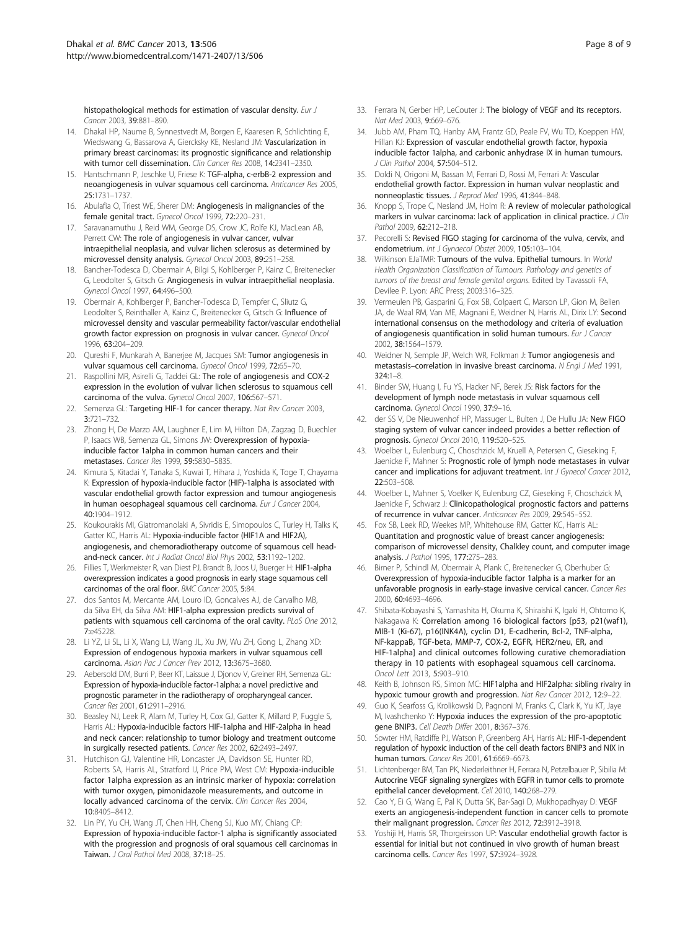<span id="page-7-0"></span>histopathological methods for estimation of vascular density. Eur J Cancer 2003, 39:881–890.

- 14. Dhakal HP, Naume B, Synnestvedt M, Borgen E, Kaaresen R, Schlichting E, Wiedswang G, Bassarova A, Giercksky KE, Nesland JM: Vascularization in primary breast carcinomas: its prognostic significance and relationship with tumor cell dissemination. Clin Cancer Res 2008, 14:2341–2350.
- 15. Hantschmann P, Jeschke U, Friese K: TGF-alpha, c-erbB-2 expression and neoangiogenesis in vulvar squamous cell carcinoma. Anticancer Res 2005, 25:1731–1737.
- 16. Abulafia O, Triest WE, Sherer DM: Angiogenesis in malignancies of the female genital tract. Gynecol Oncol 1999, 72:220–231.
- 17. Saravanamuthu J, Reid WM, George DS, Crow JC, Rolfe KJ, MacLean AB, Perrett CW: The role of angiogenesis in vulvar cancer, vulvar intraepithelial neoplasia, and vulvar lichen sclerosus as determined by microvessel density analysis. Gynecol Oncol 2003, 89:251–258.
- 18. Bancher-Todesca D, Obermair A, Bilgi S, Kohlberger P, Kainz C, Breitenecker G, Leodolter S, Gitsch G: Angiogenesis in vulvar intraepithelial neoplasia. Gynecol Oncol 1997, 64:496–500.
- 19. Obermair A, Kohlberger P, Bancher-Todesca D, Tempfer C, Sliutz G, Leodolter S, Reinthaller A, Kainz C, Breitenecker G, Gitsch G: Influence of microvessel density and vascular permeability factor/vascular endothelial growth factor expression on prognosis in vulvar cancer. Gynecol Oncol 1996, 63:204–209.
- 20. Qureshi F, Munkarah A, Banerjee M, Jacques SM: Tumor angiogenesis in vulvar squamous cell carcinoma. Gynecol Oncol 1999, 72:65–70.
- 21. Raspollini MR, Asirelli G, Taddei GL: The role of angiogenesis and COX-2 expression in the evolution of vulvar lichen sclerosus to squamous cell carcinoma of the vulva. Gynecol Oncol 2007, 106:567–571.
- 22. Semenza GL: Targeting HIF-1 for cancer therapy. Nat Rev Cancer 2003, 3:721–732.
- 23. Zhong H, De Marzo AM, Laughner E, Lim M, Hilton DA, Zagzag D, Buechler P, Isaacs WB, Semenza GL, Simons JW: Overexpression of hypoxiainducible factor 1alpha in common human cancers and their metastases. Cancer Res 1999, 59:5830–5835.
- 24. Kimura S, Kitadai Y, Tanaka S, Kuwai T, Hihara J, Yoshida K, Toge T, Chayama K: Expression of hypoxia-inducible factor (HIF)-1alpha is associated with vascular endothelial growth factor expression and tumour angiogenesis in human oesophageal squamous cell carcinoma. Eur J Cancer 2004, 40:1904–1912.
- 25. Koukourakis MI, Giatromanolaki A, Sivridis E, Simopoulos C, Turley H, Talks K, Gatter KC, Harris AL: Hypoxia-inducible factor (HIF1A and HIF2A), angiogenesis, and chemoradiotherapy outcome of squamous cell headand-neck cancer. Int J Radiat Oncol Biol Phys 2002, 53:1192-1202.
- 26. Fillies T, Werkmeister R, van Diest PJ, Brandt B, Joos U, Buerger H: HIF1-alpha overexpression indicates a good prognosis in early stage squamous cell carcinomas of the oral floor. BMC Cancer 2005, 5:84.
- 27. dos Santos M, Mercante AM, Louro ID, Goncalves AJ, de Carvalho MB, da Silva EH, da Silva AM: HIF1-alpha expression predicts survival of patients with squamous cell carcinoma of the oral cavity. PLoS One 2012, 7:e45228.
- 28. Li YZ, Li SL, Li X, Wang LJ, Wang JL, Xu JW, Wu ZH, Gong L, Zhang XD: Expression of endogenous hypoxia markers in vulvar squamous cell carcinoma. Asian Pac J Cancer Prev 2012, 13:3675–3680.
- 29. Aebersold DM, Burri P, Beer KT, Laissue J, Djonov V, Greiner RH, Semenza GL: Expression of hypoxia-inducible factor-1alpha: a novel predictive and prognostic parameter in the radiotherapy of oropharyngeal cancer. Cancer Res 2001, 61:2911–2916.
- 30. Beasley NJ, Leek R, Alam M, Turley H, Cox GJ, Gatter K, Millard P, Fuggle S, Harris AL: Hypoxia-inducible factors HIF-1alpha and HIF-2alpha in head and neck cancer: relationship to tumor biology and treatment outcome in surgically resected patients. Cancer Res 2002, 62:2493–2497.
- 31. Hutchison GJ, Valentine HR, Loncaster JA, Davidson SE, Hunter RD, Roberts SA, Harris AL, Stratford IJ, Price PM, West CM: Hypoxia-inducible factor 1alpha expression as an intrinsic marker of hypoxia: correlation with tumor oxygen, pimonidazole measurements, and outcome in locally advanced carcinoma of the cervix. Clin Cancer Res 2004, 10:8405–8412.
- 32. Lin PY, Yu CH, Wang JT, Chen HH, Cheng SJ, Kuo MY, Chiang CP: Expression of hypoxia-inducible factor-1 alpha is significantly associated with the progression and prognosis of oral squamous cell carcinomas in Taiwan. J Oral Pathol Med 2008, 37:18–25.
- 33. Ferrara N, Gerber HP, LeCouter J: The biology of VEGF and its receptors. Nat Med 2003, 9:669–676.
- 34. Jubb AM, Pham TQ, Hanby AM, Frantz GD, Peale FV, Wu TD, Koeppen HW, Hillan KJ: Expression of vascular endothelial growth factor, hypoxia inducible factor 1alpha, and carbonic anhydrase IX in human tumours. J Clin Pathol 2004, 57:504–512.
- 35. Doldi N, Origoni M, Bassan M, Ferrari D, Rossi M, Ferrari A: Vascular endothelial growth factor. Expression in human vulvar neoplastic and nonneoplastic tissues. J Reprod Med 1996, 41:844–848.
- 36. Knopp S, Trope C, Nesland JM, Holm R: A review of molecular pathological markers in vulvar carcinoma: lack of application in clinical practice. J Clin Pathol 2009 62:212-218.
- 37. Pecorelli S: Revised FIGO staging for carcinoma of the vulva, cervix, and endometrium. Int J Gynaecol Obstet 2009, 105:103–104.
- 38. Wilkinson EJaTMR: Tumours of the vulva. Epithelial tumours. In World Health Organization Classification of Tumours. Pathology and genetics of tumors of the breast and female genital organs. Edited by Tavassoli FA, Devilee P. Lyon: ARC Press; 2003:316–325.
- 39. Vermeulen PB, Gasparini G, Fox SB, Colpaert C, Marson LP, Gion M, Belien JA, de Waal RM, Van ME, Magnani E, Weidner N, Harris AL, Dirix LY: Second international consensus on the methodology and criteria of evaluation of angiogenesis quantification in solid human tumours. Eur J Cancer 2002, 38:1564–1579.
- 40. Weidner N, Semple JP, Welch WR, Folkman J: Tumor angiogenesis and metastasis–correlation in invasive breast carcinoma. N Engl J Med 1991,  $324 \cdot 1 - 8$
- 41. Binder SW, Huang I, Fu YS, Hacker NF, Berek JS: Risk factors for the development of lymph node metastasis in vulvar squamous cell carcinoma. Gynecol Oncol 1990, 37:9–16.
- 42. der SS V, De Nieuwenhof HP, Massuger L, Bulten J, De Hullu JA: New FIGO staging system of vulvar cancer indeed provides a better reflection of prognosis. Gynecol Oncol 2010, 119:520–525.
- 43. Woelber L, Eulenburg C, Choschzick M, Kruell A, Petersen C, Gieseking F, Jaenicke F, Mahner S: Prognostic role of lymph node metastases in vulvar cancer and implications for adjuvant treatment. Int J Gynecol Cancer 2012, 22:503–508.
- 44. Woelber L, Mahner S, Voelker K, Eulenburg CZ, Gieseking F, Choschzick M, Jaenicke F, Schwarz J: Clinicopathological prognostic factors and patterns of recurrence in vulvar cancer. Anticancer Res 2009, 29:545–552.
- 45. Fox SB, Leek RD, Weekes MP, Whitehouse RM, Gatter KC, Harris AL: Quantitation and prognostic value of breast cancer angiogenesis: comparison of microvessel density, Chalkley count, and computer image analysis. J Pathol 1995, 177:275–283.
- 46. Birner P, Schindl M, Obermair A, Plank C, Breitenecker G, Oberhuber G: Overexpression of hypoxia-inducible factor 1alpha is a marker for an unfavorable prognosis in early-stage invasive cervical cancer. Cancer Res 2000, 60:4693–4696.
- 47. Shibata-Kobayashi S, Yamashita H, Okuma K, Shiraishi K, Igaki H, Ohtomo K, Nakagawa K: Correlation among 16 biological factors [p53, p21(waf1), MIB-1 (Ki-67), p16(INK4A), cyclin D1, E-cadherin, Bcl-2, TNF-alpha, NF-kappaB, TGF-beta, MMP-7, COX-2, EGFR, HER2/neu, ER, and HIF-1alpha] and clinical outcomes following curative chemoradiation therapy in 10 patients with esophageal squamous cell carcinoma. Oncol Lett 2013, 5:903–910.
- 48. Keith B, Johnson RS, Simon MC: HIF1alpha and HIF2alpha: sibling rivalry in hypoxic tumour growth and progression. Nat Rev Cancer 2012, 12:9–22.
- 49. Guo K, Searfoss G, Krolikowski D, Pagnoni M, Franks C, Clark K, Yu KT, Jaye M, Ivashchenko Y: Hypoxia induces the expression of the pro-apoptotic gene BNIP3. Cell Death Differ 2001, 8:367–376.
- 50. Sowter HM, Ratcliffe PJ, Watson P, Greenberg AH, Harris AL: HIF-1-dependent regulation of hypoxic induction of the cell death factors BNIP3 and NIX in human tumors. Cancer Res 2001, 61:6669–6673.
- 51. Lichtenberger BM, Tan PK, Niederleithner H, Ferrara N, Petzelbauer P, Sibilia M: Autocrine VEGF signaling synergizes with EGFR in tumor cells to promote epithelial cancer development. Cell 2010, 140:268–279.
- 52. Cao Y, Ei G, Wang E, Pal K, Dutta SK, Bar-Sagi D, Mukhopadhyay D: VEGF exerts an angiogenesis-independent function in cancer cells to promote their malignant progression. Cancer Res 2012, 72:3912-3918.
- 53. Yoshiji H, Harris SR, Thorgeirsson UP: Vascular endothelial growth factor is essential for initial but not continued in vivo growth of human breast carcinoma cells. Cancer Res 1997, 57:3924–3928.